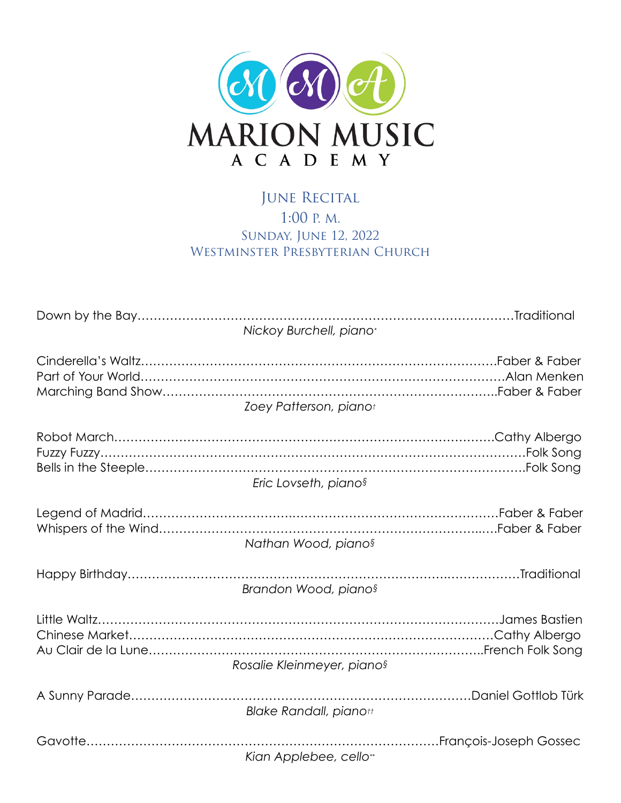

## JUNE RECITAL 1:00 P. M. Sunday, June 12, 2022 WESTMINSTER PRESBYTERIAN CHURCH

| Nickoy Burchell, piano*       |
|-------------------------------|
| Zoey Patterson, pianot        |
| Eric Lovseth, pianos          |
| Nathan Wood, pianos           |
| Brandon Wood, pianos          |
| Rosalie Kleinmeyer, pianos    |
| <b>Blake Randall, pianott</b> |
| Kian Applebee, cello**        |